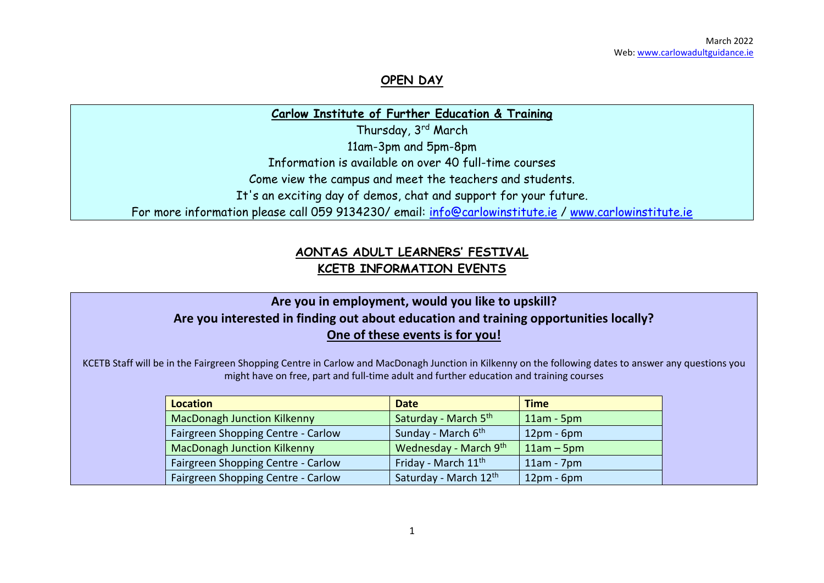#### **OPEN DAY**

**Carlow Institute of Further Education & Training**

Thursday, 3rd March

11am-3pm and 5pm-8pm

Information is available on over 40 full-time courses

Come view the campus and meet the teachers and students.

It's an exciting day of demos, chat and support for your future.

For more information please call 059 9134230/ email: [info@carlowinstitute.ie](mailto:info@carlowinstitute.ie) / [www.carlowinstitute.ie](http://www.carlowinstitute.ie/)

### **AONTAS ADULT LEARNERS' FESTIVAL KCETB INFORMATION EVENTS**

### **Are you in employment, would you like to upskill? Are you interested in finding out about education and training opportunities locally? One of these events is for you!**

KCETB Staff will be in the Fairgreen Shopping Centre in Carlow and MacDonagh Junction in Kilkenny on the following dates to answer any questions you might have on free, part and full-time adult and further education and training courses

| <b>Location</b>                    | <b>Date</b>                     | <b>Time</b>  |
|------------------------------------|---------------------------------|--------------|
| <b>MacDonagh Junction Kilkenny</b> | Saturday - March 5th            | $11am - 5pm$ |
| Fairgreen Shopping Centre - Carlow | Sunday - March 6 <sup>th</sup>  | $12pm - 6pm$ |
| <b>MacDonagh Junction Kilkenny</b> | Wednesday - March 9th           | $11am - 5pm$ |
| Fairgreen Shopping Centre - Carlow | Friday - March 11 <sup>th</sup> | $11am - 7pm$ |
| Fairgreen Shopping Centre - Carlow | Saturday - March 12th           | $12pm - 6pm$ |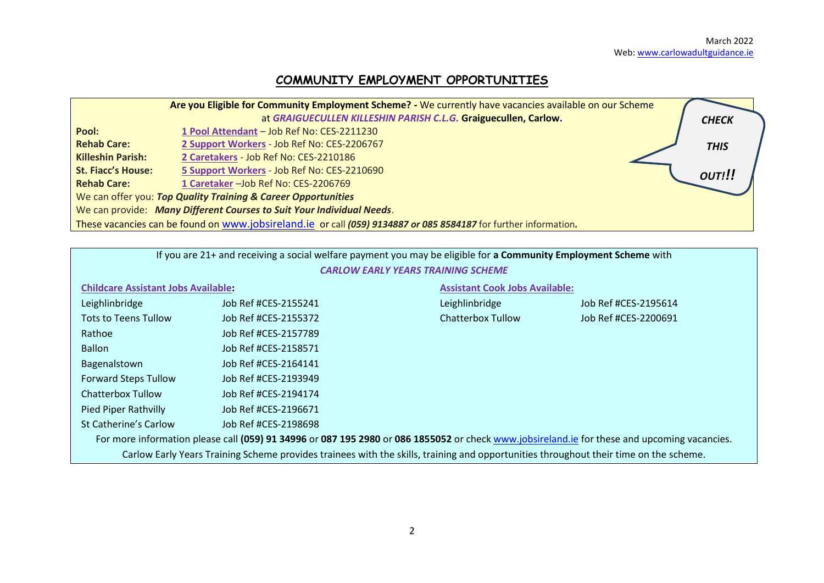# **COMMUNITY EMPLOYMENT OPPORTUNITIES**

|                           | Are you Eligible for Community Employment Scheme? - We currently have vacancies available on our Scheme          |              |
|---------------------------|------------------------------------------------------------------------------------------------------------------|--------------|
|                           | at GRAIGUECULLEN KILLESHIN PARISH C.L.G. Graiguecullen, Carlow.                                                  | <b>CHECK</b> |
| Pool:                     | 1 Pool Attendant - Job Ref No: CES-2211230                                                                       |              |
| <b>Rehab Care:</b>        | 2 Support Workers - Job Ref No: CES-2206767                                                                      | <b>THIS</b>  |
| <b>Killeshin Parish:</b>  | 2 Caretakers - Job Ref No: CES-2210186                                                                           |              |
| <b>St. Fiacc's House:</b> | 5 Support Workers - Job Ref No: CES-2210690                                                                      | OUT!!!       |
| <b>Rehab Care:</b>        | 1 Caretaker - Job Ref No: CES-2206769                                                                            |              |
|                           | We can offer you: Top Quality Training & Career Opportunities                                                    |              |
|                           | We can provide: Many Different Courses to Suit Your Individual Needs.                                            |              |
|                           | These vacancies can be found on www.jobsireland.ie or call (059) 9134887 or 085 8584187 for further information. |              |

|                                                                                                                                              | If you are 21+ and receiving a social welfare payment you may be eligible for a Community Employment Scheme with |                                                                                                                                       |                      |  |  |  |  |  |  |  |
|----------------------------------------------------------------------------------------------------------------------------------------------|------------------------------------------------------------------------------------------------------------------|---------------------------------------------------------------------------------------------------------------------------------------|----------------------|--|--|--|--|--|--|--|
| <b>CARLOW EARLY YEARS TRAINING SCHEME</b>                                                                                                    |                                                                                                                  |                                                                                                                                       |                      |  |  |  |  |  |  |  |
| <b>Childcare Assistant Jobs Available:</b><br><b>Assistant Cook Jobs Available:</b>                                                          |                                                                                                                  |                                                                                                                                       |                      |  |  |  |  |  |  |  |
| Leighlinbridge                                                                                                                               | Job Ref #CES-2155241                                                                                             |                                                                                                                                       | Job Ref #CES-2195614 |  |  |  |  |  |  |  |
| <b>Tots to Teens Tullow</b>                                                                                                                  | Job Ref #CES-2155372                                                                                             | <b>Chatterbox Tullow</b>                                                                                                              | Job Ref #CES-2200691 |  |  |  |  |  |  |  |
| Rathoe                                                                                                                                       | Job Ref #CES-2157789                                                                                             |                                                                                                                                       |                      |  |  |  |  |  |  |  |
| <b>Ballon</b>                                                                                                                                |                                                                                                                  |                                                                                                                                       |                      |  |  |  |  |  |  |  |
| Bagenalstown                                                                                                                                 | Job Ref #CES-2164141                                                                                             |                                                                                                                                       |                      |  |  |  |  |  |  |  |
| <b>Forward Steps Tullow</b>                                                                                                                  | Job Ref #CES-2193949                                                                                             |                                                                                                                                       |                      |  |  |  |  |  |  |  |
| <b>Chatterbox Tullow</b>                                                                                                                     | Job Ref #CES-2194174                                                                                             |                                                                                                                                       |                      |  |  |  |  |  |  |  |
| <b>Pied Piper Rathvilly</b>                                                                                                                  | Job Ref #CES-2196671                                                                                             |                                                                                                                                       |                      |  |  |  |  |  |  |  |
| St Catherine's Carlow<br>Job Ref #CES-2198698                                                                                                |                                                                                                                  |                                                                                                                                       |                      |  |  |  |  |  |  |  |
| For more information please call (059) 91 34996 or 087 195 2980 or 086 1855052 or check www.jobsireland.ie for these and upcoming vacancies. |                                                                                                                  |                                                                                                                                       |                      |  |  |  |  |  |  |  |
|                                                                                                                                              |                                                                                                                  | Carlow Early Years Training Scheme provides trainees with the skills, training and opportunities throughout their time on the scheme. |                      |  |  |  |  |  |  |  |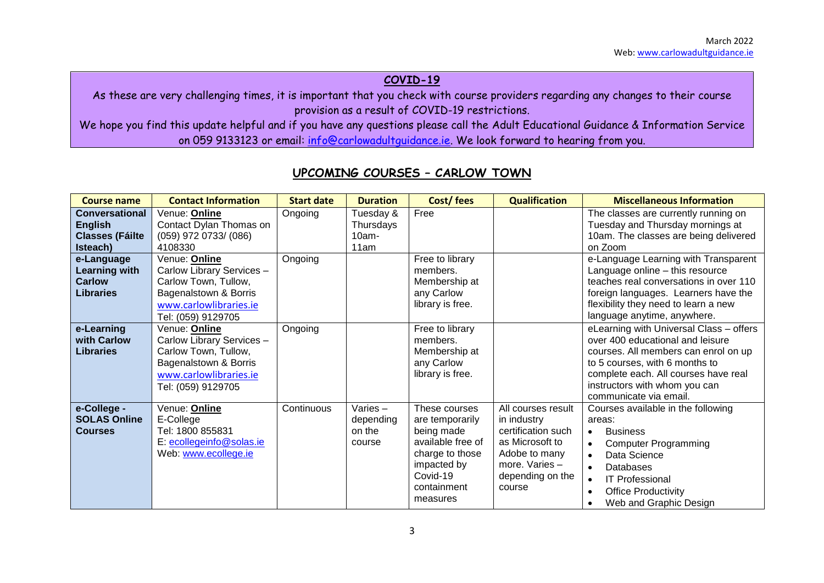#### **COVID-19**

As these are very challenging times, it is important that you check with course providers regarding any changes to their course provision as a result of COVID-19 restrictions.

We hope you find this update helpful and if you have any questions please call the Adult Educational Guidance & Information Service on 059 9133123 or email: [info@carlowadultguidance.ie.](mailto:info@carlowadultguidance.ie) We look forward to hearing from you.

| <b>Course name</b>                                                            | <b>Contact Information</b>                                                                                                                         | <b>Start date</b> | <b>Duration</b>                            | Cost/fees                                                                                                                                    | <b>Qualification</b>                                                                                                                        | <b>Miscellaneous Information</b>                                                                                                                                                                                                                         |
|-------------------------------------------------------------------------------|----------------------------------------------------------------------------------------------------------------------------------------------------|-------------------|--------------------------------------------|----------------------------------------------------------------------------------------------------------------------------------------------|---------------------------------------------------------------------------------------------------------------------------------------------|----------------------------------------------------------------------------------------------------------------------------------------------------------------------------------------------------------------------------------------------------------|
| <b>Conversational</b><br><b>English</b><br><b>Classes (Fáilte</b><br>Isteach) | Venue: Online<br>Contact Dylan Thomas on<br>(059) 972 0733/ (086)<br>4108330                                                                       | Ongoing           | Tuesday &<br>Thursdays<br>$10am -$<br>11am | Free                                                                                                                                         |                                                                                                                                             | The classes are currently running on<br>Tuesday and Thursday mornings at<br>10am. The classes are being delivered<br>on Zoom                                                                                                                             |
| e-Language<br><b>Learning with</b><br><b>Carlow</b><br><b>Libraries</b>       | Venue: Online<br>Carlow Library Services -<br>Carlow Town, Tullow,<br>Bagenalstown & Borris<br>www.carlowlibraries.ie<br>Tel: (059) 9129705        | Ongoing           |                                            | Free to library<br>members.<br>Membership at<br>any Carlow<br>library is free.                                                               |                                                                                                                                             | e-Language Learning with Transparent<br>Language online - this resource<br>teaches real conversations in over 110<br>foreign languages. Learners have the<br>flexibility they need to learn a new<br>language anytime, anywhere.                         |
| e-Learning<br>with Carlow<br><b>Libraries</b>                                 | Venue: <b>Online</b><br>Carlow Library Services -<br>Carlow Town, Tullow,<br>Bagenalstown & Borris<br>www.carlowlibraries.ie<br>Tel: (059) 9129705 | Ongoing           |                                            | Free to library<br>members.<br>Membership at<br>any Carlow<br>library is free.                                                               |                                                                                                                                             | eLearning with Universal Class - offers<br>over 400 educational and leisure<br>courses. All members can enrol on up<br>to 5 courses, with 6 months to<br>complete each. All courses have real<br>instructors with whom you can<br>communicate via email. |
| e-College -<br><b>SOLAS Online</b><br><b>Courses</b>                          | Venue: Online<br>E-College<br>Tel: 1800 855831<br>E: ecollegeinfo@solas.ie<br>Web: www.ecollege.ie                                                 | Continuous        | Varies-<br>depending<br>on the<br>course   | These courses<br>are temporarily<br>being made<br>available free of<br>charge to those<br>impacted by<br>Covid-19<br>containment<br>measures | All courses result<br>in industry<br>certification such<br>as Microsoft to<br>Adobe to many<br>more. Varies -<br>depending on the<br>course | Courses available in the following<br>areas:<br><b>Business</b><br>$\bullet$<br><b>Computer Programming</b><br>Data Science<br>Databases<br><b>IT Professional</b><br><b>Office Productivity</b><br>$\bullet$<br>Web and Graphic Design                  |

### **UPCOMING COURSES – CARLOW TOWN**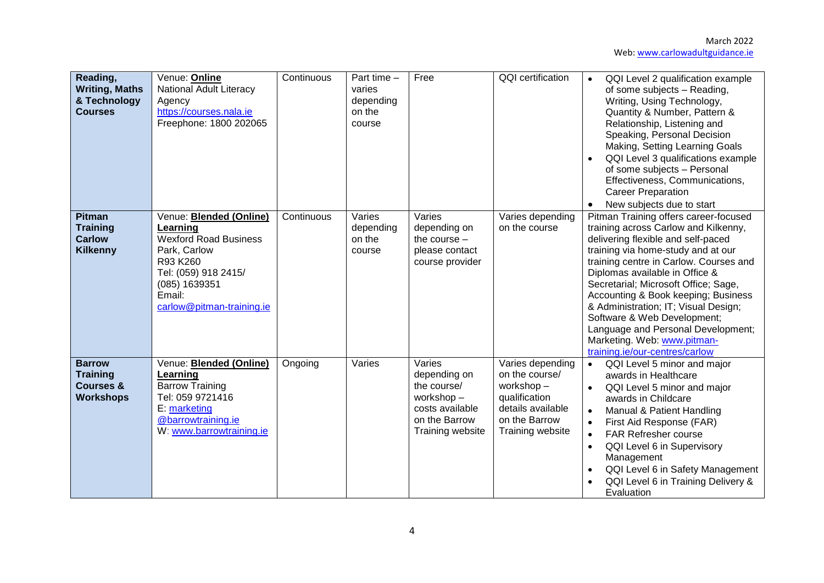| Reading,<br><b>Writing, Maths</b><br>& Technology<br><b>Courses</b>          | Venue: Online<br><b>National Adult Literacy</b><br>Agency<br>https://courses.nala.ie<br>Freephone: 1800 202065                                                                         | Continuous | Part time -<br>varies<br>depending<br>on the<br>course | Free                                                                                                       | <b>QQI</b> certification                                                                                                   | QQI Level 2 qualification example<br>$\bullet$<br>of some subjects - Reading,<br>Writing, Using Technology,<br>Quantity & Number, Pattern &<br>Relationship, Listening and<br>Speaking, Personal Decision<br>Making, Setting Learning Goals<br>QQI Level 3 qualifications example<br>of some subjects - Personal<br>Effectiveness, Communications,<br><b>Career Preparation</b><br>New subjects due to start<br>$\bullet$                                                                          |
|------------------------------------------------------------------------------|----------------------------------------------------------------------------------------------------------------------------------------------------------------------------------------|------------|--------------------------------------------------------|------------------------------------------------------------------------------------------------------------|----------------------------------------------------------------------------------------------------------------------------|----------------------------------------------------------------------------------------------------------------------------------------------------------------------------------------------------------------------------------------------------------------------------------------------------------------------------------------------------------------------------------------------------------------------------------------------------------------------------------------------------|
| <b>Pitman</b><br><b>Training</b><br><b>Carlow</b><br><b>Kilkenny</b>         | Venue: <b>Blended (Online)</b><br>Learning<br><b>Wexford Road Business</b><br>Park, Carlow<br>R93 K260<br>Tel: (059) 918 2415/<br>(085) 1639351<br>Email:<br>carlow@pitman-training.ie | Continuous | Varies<br>depending<br>on the<br>course                | Varies<br>depending on<br>the course $-$<br>please contact<br>course provider                              | Varies depending<br>on the course                                                                                          | Pitman Training offers career-focused<br>training across Carlow and Kilkenny,<br>delivering flexible and self-paced<br>training via home-study and at our<br>training centre in Carlow. Courses and<br>Diplomas available in Office &<br>Secretarial; Microsoft Office; Sage,<br>Accounting & Book keeping; Business<br>& Administration; IT; Visual Design;<br>Software & Web Development;<br>Language and Personal Development;<br>Marketing. Web: www.pitman-<br>training.ie/our-centres/carlow |
| <b>Barrow</b><br><b>Training</b><br><b>Courses &amp;</b><br><b>Workshops</b> | Venue: <b>Blended (Online)</b><br>Learning<br><b>Barrow Training</b><br>Tel: 059 9721416<br>E: marketing<br>@barrowtraining.ie<br>W: www.barrowtraining.ie                             | Ongoing    | Varies                                                 | Varies<br>depending on<br>the course/<br>workshop-<br>costs available<br>on the Barrow<br>Training website | Varies depending<br>on the course/<br>workshop-<br>qualification<br>details available<br>on the Barrow<br>Training website | QQI Level 5 minor and major<br>$\bullet$<br>awards in Healthcare<br>QQI Level 5 minor and major<br>$\bullet$<br>awards in Childcare<br>Manual & Patient Handling<br>First Aid Response (FAR)<br><b>FAR Refresher course</b><br>$\bullet$<br>QQI Level 6 in Supervisory<br>$\bullet$<br>Management<br>QQI Level 6 in Safety Management<br>QQI Level 6 in Training Delivery &<br>Evaluation                                                                                                          |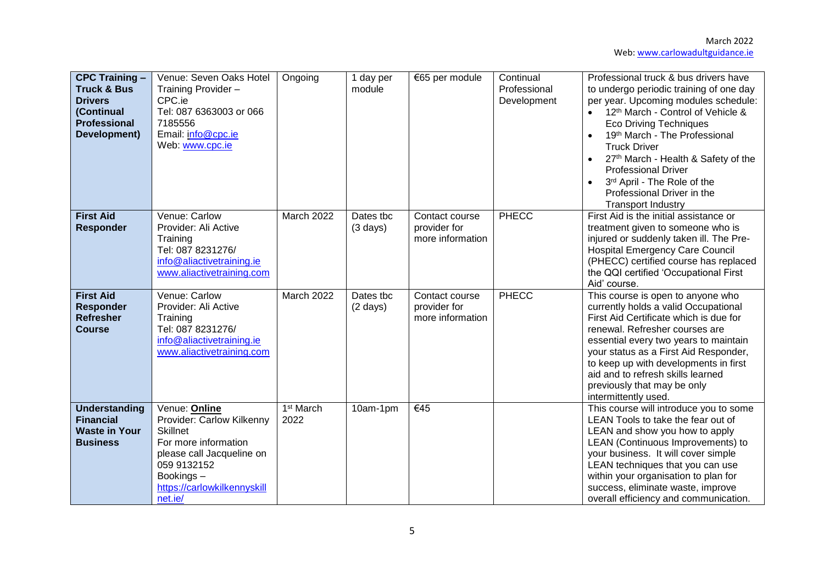| <b>CPC Training -</b><br><b>Truck &amp; Bus</b><br><b>Drivers</b><br>(Continual<br><b>Professional</b><br>Development) | Venue: Seven Oaks Hotel<br>Training Provider -<br>CPC.ie<br>Tel: 087 6363003 or 066<br>7185556<br>Email: info@cpc.ie<br>Web: www.cpc.ie                                                  | Ongoing                       | 1 day per<br>module             | €65 per module                                     | Continual<br>Professional<br>Development | Professional truck & bus drivers have<br>to undergo periodic training of one day<br>per year. Upcoming modules schedule:<br>12 <sup>th</sup> March - Control of Vehicle &<br>$\bullet$<br><b>Eco Driving Techniques</b><br>19th March - The Professional<br><b>Truck Driver</b><br>27th March - Health & Safety of the<br><b>Professional Driver</b><br>3rd April - The Role of the<br>$\bullet$<br>Professional Driver in the<br><b>Transport Industry</b> |
|------------------------------------------------------------------------------------------------------------------------|------------------------------------------------------------------------------------------------------------------------------------------------------------------------------------------|-------------------------------|---------------------------------|----------------------------------------------------|------------------------------------------|-------------------------------------------------------------------------------------------------------------------------------------------------------------------------------------------------------------------------------------------------------------------------------------------------------------------------------------------------------------------------------------------------------------------------------------------------------------|
| <b>First Aid</b><br><b>Responder</b>                                                                                   | Venue: Carlow<br>Provider: Ali Active<br>Training<br>Tel: 087 8231276/<br>info@aliactivetraining.ie<br>www.aliactivetraining.com                                                         | March 2022                    | Dates tbc<br>$(3 \text{ days})$ | Contact course<br>provider for<br>more information | PHECC                                    | First Aid is the initial assistance or<br>treatment given to someone who is<br>injured or suddenly taken ill. The Pre-<br><b>Hospital Emergency Care Council</b><br>(PHECC) certified course has replaced<br>the QQI certified 'Occupational First<br>Aid' course.                                                                                                                                                                                          |
| <b>First Aid</b><br><b>Responder</b><br><b>Refresher</b><br><b>Course</b>                                              | Venue: Carlow<br>Provider: Ali Active<br>Training<br>Tel: 087 8231276/<br>info@aliactivetraining.ie<br>www.aliactivetraining.com                                                         | March 2022                    | Dates tbc<br>$(2 \text{ days})$ | Contact course<br>provider for<br>more information | PHECC                                    | This course is open to anyone who<br>currently holds a valid Occupational<br>First Aid Certificate which is due for<br>renewal. Refresher courses are<br>essential every two years to maintain<br>your status as a First Aid Responder,<br>to keep up with developments in first<br>aid and to refresh skills learned<br>previously that may be only<br>intermittently used.                                                                                |
| <b>Understanding</b><br><b>Financial</b><br><b>Waste in Your</b><br><b>Business</b>                                    | Venue: Online<br>Provider: Carlow Kilkenny<br><b>Skillnet</b><br>For more information<br>please call Jacqueline on<br>059 9132152<br>Bookings-<br>https://carlowkilkennyskill<br>net.ie/ | 1 <sup>st</sup> March<br>2022 | 10am-1pm                        | €45                                                |                                          | This course will introduce you to some<br>LEAN Tools to take the fear out of<br>LEAN and show you how to apply<br>LEAN (Continuous Improvements) to<br>your business. It will cover simple<br>LEAN techniques that you can use<br>within your organisation to plan for<br>success, eliminate waste, improve<br>overall efficiency and communication.                                                                                                        |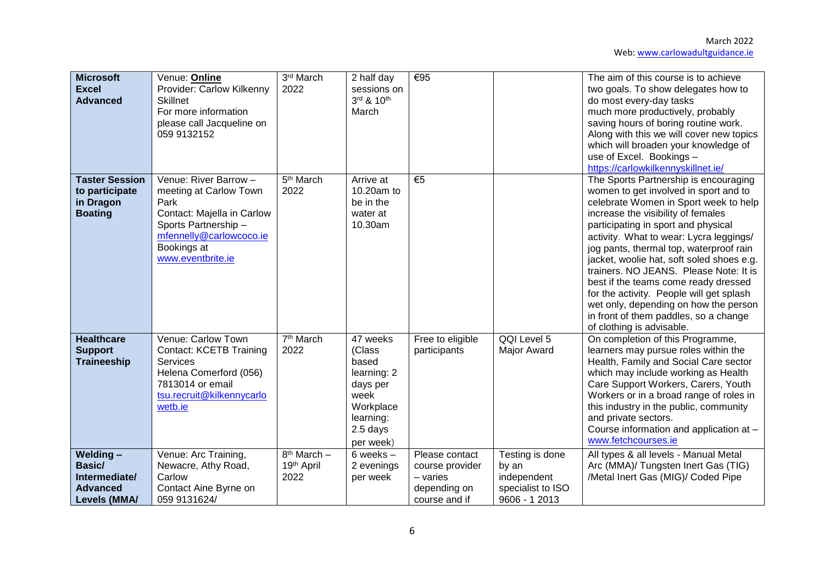| <b>Microsoft</b><br><b>Excel</b><br><b>Advanced</b>                           | Venue: Online<br>Provider: Carlow Kilkenny<br><b>Skillnet</b><br>For more information<br>please call Jacqueline on<br>059 9132152                                           | 3rd March<br>2022                     | 2 half day<br>sessions on<br>3rd & 10th<br>March                                                                  | €95                                                                            |                                                                               | The aim of this course is to achieve<br>two goals. To show delegates how to<br>do most every-day tasks<br>much more productively, probably<br>saving hours of boring routine work.<br>Along with this we will cover new topics<br>which will broaden your knowledge of<br>use of Excel. Bookings -<br>https://carlowkilkennyskillnet.ie/                                                                                                                                                                                                                                             |
|-------------------------------------------------------------------------------|-----------------------------------------------------------------------------------------------------------------------------------------------------------------------------|---------------------------------------|-------------------------------------------------------------------------------------------------------------------|--------------------------------------------------------------------------------|-------------------------------------------------------------------------------|--------------------------------------------------------------------------------------------------------------------------------------------------------------------------------------------------------------------------------------------------------------------------------------------------------------------------------------------------------------------------------------------------------------------------------------------------------------------------------------------------------------------------------------------------------------------------------------|
| <b>Taster Session</b><br>to participate<br>in Dragon<br><b>Boating</b>        | Venue: River Barrow -<br>meeting at Carlow Town<br>Park<br>Contact: Majella in Carlow<br>Sports Partnership-<br>mfennelly@carlowcoco.ie<br>Bookings at<br>www.eventbrite.ie | 5 <sup>th</sup> March<br>2022         | Arrive at<br>10.20am to<br>be in the<br>water at<br>10.30am                                                       | $\overline{\epsilon}$                                                          |                                                                               | The Sports Partnership is encouraging<br>women to get involved in sport and to<br>celebrate Women in Sport week to help<br>increase the visibility of females<br>participating in sport and physical<br>activity. What to wear: Lycra leggings/<br>jog pants, thermal top, waterproof rain<br>jacket, woolie hat, soft soled shoes e.g.<br>trainers. NO JEANS. Please Note: It is<br>best if the teams come ready dressed<br>for the activity. People will get splash<br>wet only, depending on how the person<br>in front of them paddles, so a change<br>of clothing is advisable. |
| <b>Healthcare</b><br><b>Support</b><br><b>Traineeship</b>                     | Venue: Carlow Town<br><b>Contact: KCETB Training</b><br>Services<br>Helena Comerford (056)<br>7813014 or email<br>tsu.recruit@kilkennycarlo<br>wetb.ie                      | 7 <sup>th</sup> March<br>2022         | 47 weeks<br>(Class<br>based<br>learning: 2<br>days per<br>week<br>Workplace<br>learning:<br>2.5 days<br>per week) | Free to eligible<br>participants                                               | QQI Level 5<br>Major Award                                                    | On completion of this Programme,<br>learners may pursue roles within the<br>Health, Family and Social Care sector<br>which may include working as Health<br>Care Support Workers, Carers, Youth<br>Workers or in a broad range of roles in<br>this industry in the public, community<br>and private sectors.<br>Course information and application at -<br>www.fetchcourses.ie                                                                                                                                                                                                       |
| Welding-<br>Basic/<br>Intermediate/<br><b>Advanced</b><br><b>Levels (MMA/</b> | Venue: Arc Training,<br>Newacre, Athy Road,<br>Carlow<br>Contact Aine Byrne on<br>059 9131624/                                                                              | $8th$ March $-$<br>19th April<br>2022 | $6$ weeks $-$<br>2 evenings<br>per week                                                                           | Please contact<br>course provider<br>- varies<br>depending on<br>course and if | Testing is done<br>by an<br>independent<br>specialist to ISO<br>9606 - 1 2013 | All types & all levels - Manual Metal<br>Arc (MMA)/ Tungsten Inert Gas (TIG)<br>/Metal Inert Gas (MIG)/ Coded Pipe                                                                                                                                                                                                                                                                                                                                                                                                                                                                   |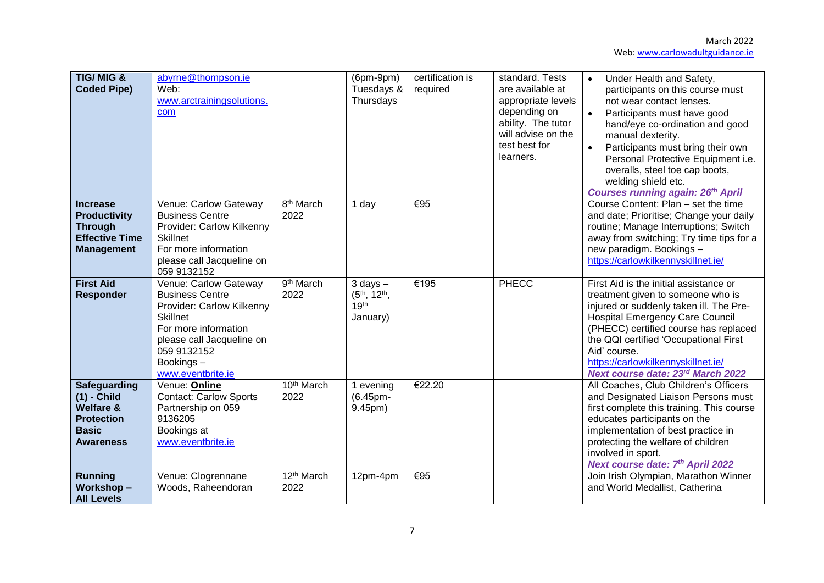March 2022 Web[: www.carlowadultguidance.ie](http://www.carlowadultguidance.ie/)

| TIG/MIG &<br><b>Coded Pipe)</b>                                                                                       | abyrne@thompson.ie<br>Web:<br>www.arctrainingsolutions.<br>com                                                                                                                                        |                                | $(6pm-9pm)$<br>Tuesdays &<br>Thursdays                                                | certification is<br>required | standard. Tests<br>are available at<br>appropriate levels<br>depending on<br>ability. The tutor<br>will advise on the<br>test best for<br>learners. | Under Health and Safety,<br>$\bullet$<br>participants on this course must<br>not wear contact lenses.<br>$\bullet$<br>Participants must have good<br>hand/eye co-ordination and good<br>manual dexterity.<br>$\bullet$<br>Participants must bring their own<br>Personal Protective Equipment i.e.<br>overalls, steel toe cap boots,<br>welding shield etc.<br><b>Courses running again: 26th April</b> |
|-----------------------------------------------------------------------------------------------------------------------|-------------------------------------------------------------------------------------------------------------------------------------------------------------------------------------------------------|--------------------------------|---------------------------------------------------------------------------------------|------------------------------|-----------------------------------------------------------------------------------------------------------------------------------------------------|--------------------------------------------------------------------------------------------------------------------------------------------------------------------------------------------------------------------------------------------------------------------------------------------------------------------------------------------------------------------------------------------------------|
| <b>Increase</b><br><b>Productivity</b><br><b>Through</b><br><b>Effective Time</b><br><b>Management</b>                | Venue: Carlow Gateway<br><b>Business Centre</b><br>Provider: Carlow Kilkenny<br><b>Skillnet</b><br>For more information<br>please call Jacqueline on<br>059 9132152                                   | 8 <sup>th</sup> March<br>2022  | 1 day                                                                                 | €95                          |                                                                                                                                                     | Course Content: Plan - set the time<br>and date; Prioritise; Change your daily<br>routine; Manage Interruptions; Switch<br>away from switching; Try time tips for a<br>new paradigm. Bookings -<br>https://carlowkilkennyskillnet.ie/                                                                                                                                                                  |
| <b>First Aid</b><br><b>Responder</b>                                                                                  | Venue: Carlow Gateway<br><b>Business Centre</b><br>Provider: Carlow Kilkenny<br><b>Skillnet</b><br>For more information<br>please call Jacqueline on<br>059 9132152<br>Bookings-<br>www.eventbrite.ie | 9 <sup>th</sup> March<br>2022  | $3$ days $-$<br>(5 <sup>th</sup> , 12 <sup>th</sup> ,<br>19 <sup>th</sup><br>January) | €195                         | PHECC                                                                                                                                               | First Aid is the initial assistance or<br>treatment given to someone who is<br>injured or suddenly taken ill. The Pre-<br><b>Hospital Emergency Care Council</b><br>(PHECC) certified course has replaced<br>the QQI certified 'Occupational First<br>Aid' course.<br>https://carlowkilkennyskillnet.ie/<br>Next course date: 23rd March 2022                                                          |
| <b>Safeguarding</b><br>$(1)$ - Child<br><b>Welfare &amp;</b><br><b>Protection</b><br><b>Basic</b><br><b>Awareness</b> | Venue: Online<br><b>Contact: Carlow Sports</b><br>Partnership on 059<br>9136205<br>Bookings at<br>www.eventbrite.ie                                                                                   | 10th March<br>2022             | 1 evening<br>(6.45pm-<br>9.45pm)                                                      | €22.20                       |                                                                                                                                                     | All Coaches, Club Children's Officers<br>and Designated Liaison Persons must<br>first complete this training. This course<br>educates participants on the<br>implementation of best practice in<br>protecting the welfare of children<br>involved in sport.<br>Next course date: 7th April 2022                                                                                                        |
| <b>Running</b><br><b>Workshop-</b><br><b>All Levels</b>                                                               | Venue: Clogrennane<br>Woods, Raheendoran                                                                                                                                                              | 12 <sup>th</sup> March<br>2022 | 12pm-4pm                                                                              | €95                          |                                                                                                                                                     | Join Irish Olympian, Marathon Winner<br>and World Medallist, Catherina                                                                                                                                                                                                                                                                                                                                 |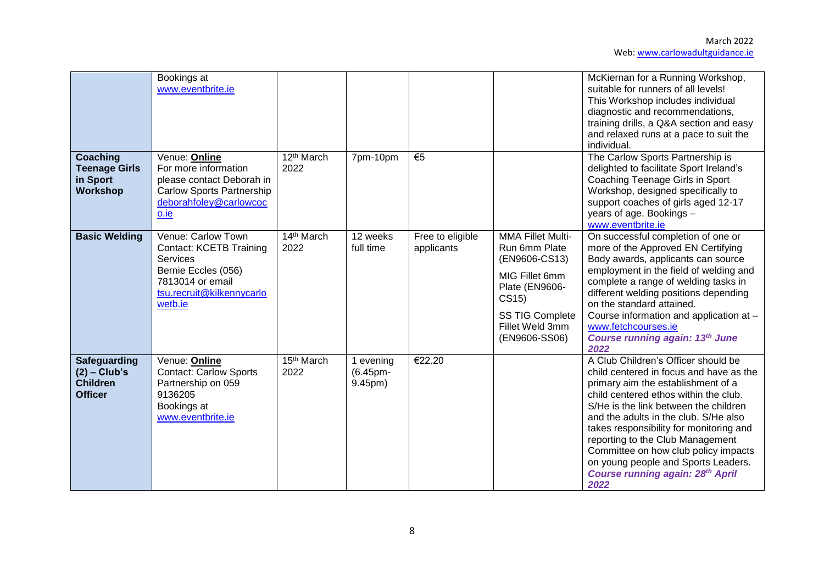|                                                                     | Bookings at<br>www.eventbrite.ie                                                                                                                    |                      |                                  |                                |                                                                                                                                                                       | McKiernan for a Running Workshop,<br>suitable for runners of all levels!<br>This Workshop includes individual<br>diagnostic and recommendations,<br>training drills, a Q&A section and easy<br>and relaxed runs at a pace to suit the<br>individual.                                                                                                                                                                                                             |
|---------------------------------------------------------------------|-----------------------------------------------------------------------------------------------------------------------------------------------------|----------------------|----------------------------------|--------------------------------|-----------------------------------------------------------------------------------------------------------------------------------------------------------------------|------------------------------------------------------------------------------------------------------------------------------------------------------------------------------------------------------------------------------------------------------------------------------------------------------------------------------------------------------------------------------------------------------------------------------------------------------------------|
| <b>Coaching</b><br><b>Teenage Girls</b><br>in Sport<br>Workshop     | Venue: Online<br>For more information<br>please contact Deborah in<br><b>Carlow Sports Partnership</b><br>deborahfoley@carlowcoc<br>o.ie            | $12th$ March<br>2022 | 7pm-10pm                         | €5                             |                                                                                                                                                                       | The Carlow Sports Partnership is<br>delighted to facilitate Sport Ireland's<br>Coaching Teenage Girls in Sport<br>Workshop, designed specifically to<br>support coaches of girls aged 12-17<br>years of age. Bookings -<br>www.eventbrite.ie                                                                                                                                                                                                                     |
| <b>Basic Welding</b>                                                | Venue: Carlow Town<br><b>Contact: KCETB Training</b><br>Services<br>Bernie Eccles (056)<br>7813014 or email<br>tsu.recruit@kilkennycarlo<br>wetb.ie | $14th$ March<br>2022 | 12 weeks<br>full time            | Free to eligible<br>applicants | <b>MMA Fillet Multi-</b><br>Run 6mm Plate<br>(EN9606-CS13)<br>MIG Fillet 6mm<br>Plate (EN9606-<br>CS15)<br><b>SS TIG Complete</b><br>Fillet Weld 3mm<br>(EN9606-SS06) | On successful completion of one or<br>more of the Approved EN Certifying<br>Body awards, applicants can source<br>employment in the field of welding and<br>complete a range of welding tasks in<br>different welding positions depending<br>on the standard attained.<br>Course information and application at -<br>www.fetchcourses.ie<br><b>Course running again: 13th June</b><br>2022                                                                       |
| Safeguarding<br>$(2)$ – Club's<br><b>Children</b><br><b>Officer</b> | Venue: Online<br><b>Contact: Carlow Sports</b><br>Partnership on 059<br>9136205<br>Bookings at<br>www.eventbrite.ie                                 | $15th$ March<br>2022 | 1 evening<br>(6.45pm-<br>9.45pm) | €22.20                         |                                                                                                                                                                       | A Club Children's Officer should be<br>child centered in focus and have as the<br>primary aim the establishment of a<br>child centered ethos within the club.<br>S/He is the link between the children<br>and the adults in the club. S/He also<br>takes responsibility for monitoring and<br>reporting to the Club Management<br>Committee on how club policy impacts<br>on young people and Sports Leaders.<br><b>Course running again: 28th April</b><br>2022 |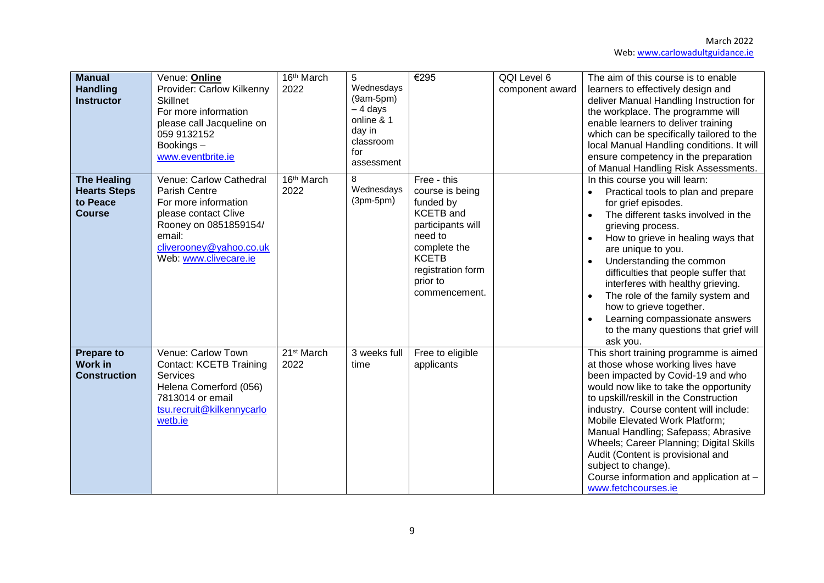| <b>Manual</b><br><b>Handling</b><br><b>Instructor</b>                  | Venue: Online<br>Provider: Carlow Kilkenny<br><b>Skillnet</b><br>For more information<br>please call Jacqueline on<br>059 9132152<br>Bookings-<br>www.eventbrite.ie                    | 16th March<br>2022             | 5<br>Wednesdays<br>$(9am-5pm)$<br>- 4 days<br>online & 1<br>day in<br>classroom<br>for<br>assessment | €295                                                                                                                                                                              | QQI Level 6<br>component award | The aim of this course is to enable<br>learners to effectively design and<br>deliver Manual Handling Instruction for<br>the workplace. The programme will<br>enable learners to deliver training<br>which can be specifically tailored to the<br>local Manual Handling conditions. It will<br>ensure competency in the preparation<br>of Manual Handling Risk Assessments.                                                                                                                       |
|------------------------------------------------------------------------|----------------------------------------------------------------------------------------------------------------------------------------------------------------------------------------|--------------------------------|------------------------------------------------------------------------------------------------------|-----------------------------------------------------------------------------------------------------------------------------------------------------------------------------------|--------------------------------|--------------------------------------------------------------------------------------------------------------------------------------------------------------------------------------------------------------------------------------------------------------------------------------------------------------------------------------------------------------------------------------------------------------------------------------------------------------------------------------------------|
| <b>The Healing</b><br><b>Hearts Steps</b><br>to Peace<br><b>Course</b> | Venue: Carlow Cathedral<br><b>Parish Centre</b><br>For more information<br>please contact Clive<br>Rooney on 0851859154/<br>email:<br>cliverooney@yahoo.co.uk<br>Web: www.clivecare.ie | 16 <sup>th</sup> March<br>2022 | 8<br>Wednesdays<br>$(3pm-5pm)$                                                                       | Free - this<br>course is being<br>funded by<br><b>KCETB</b> and<br>participants will<br>need to<br>complete the<br><b>KCETB</b><br>registration form<br>prior to<br>commencement. |                                | In this course you will learn:<br>Practical tools to plan and prepare<br>for grief episodes.<br>The different tasks involved in the<br>grieving process.<br>How to grieve in healing ways that<br>are unique to you.<br>Understanding the common<br>difficulties that people suffer that<br>interferes with healthy grieving.<br>The role of the family system and<br>how to grieve together.<br>Learning compassionate answers<br>to the many questions that grief will<br>ask you.             |
| <b>Prepare to</b><br><b>Work in</b><br><b>Construction</b>             | Venue: Carlow Town<br><b>Contact: KCETB Training</b><br><b>Services</b><br>Helena Comerford (056)<br>7813014 or email<br>tsu.recruit@kilkennycarlo<br>wetb.ie                          | 21 <sup>st</sup> March<br>2022 | 3 weeks full<br>time                                                                                 | Free to eligible<br>applicants                                                                                                                                                    |                                | This short training programme is aimed<br>at those whose working lives have<br>been impacted by Covid-19 and who<br>would now like to take the opportunity<br>to upskill/reskill in the Construction<br>industry. Course content will include:<br>Mobile Elevated Work Platform;<br>Manual Handling; Safepass; Abrasive<br>Wheels; Career Planning; Digital Skills<br>Audit (Content is provisional and<br>subject to change).<br>Course information and application at -<br>www.fetchcourses.ie |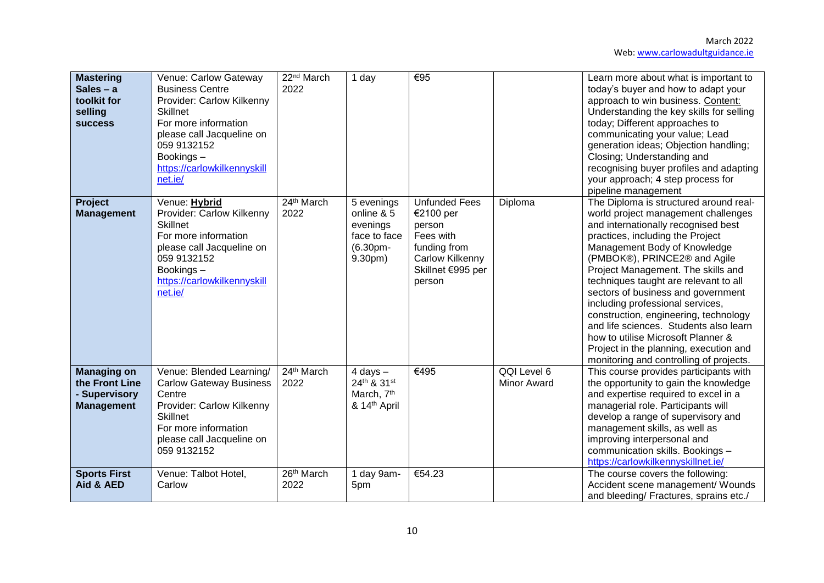| <b>Mastering</b><br>Sales $- a$<br>toolkit for<br>selling<br><b>success</b> | Venue: Carlow Gateway<br><b>Business Centre</b><br>Provider: Carlow Kilkenny<br><b>Skillnet</b><br>For more information<br>please call Jacqueline on<br>059 9132152<br>Bookings-<br>https://carlowkilkennyskill<br>net.ie/ | $22nd$ March<br>2022 | 1 day                                                                             | €95                                                                                                                        |                                   | Learn more about what is important to<br>today's buyer and how to adapt your<br>approach to win business. Content:<br>Understanding the key skills for selling<br>today; Different approaches to<br>communicating your value; Lead<br>generation ideas; Objection handling;<br>Closing; Understanding and<br>recognising buyer profiles and adapting<br>your approach; 4 step process for<br>pipeline management                                                                                                                                                                                |
|-----------------------------------------------------------------------------|----------------------------------------------------------------------------------------------------------------------------------------------------------------------------------------------------------------------------|----------------------|-----------------------------------------------------------------------------------|----------------------------------------------------------------------------------------------------------------------------|-----------------------------------|-------------------------------------------------------------------------------------------------------------------------------------------------------------------------------------------------------------------------------------------------------------------------------------------------------------------------------------------------------------------------------------------------------------------------------------------------------------------------------------------------------------------------------------------------------------------------------------------------|
| Project<br><b>Management</b>                                                | Venue: Hybrid<br>Provider: Carlow Kilkenny<br><b>Skillnet</b><br>For more information<br>please call Jacqueline on<br>059 9132152<br>Bookings-<br>https://carlowkilkennyskill<br>net.ie/                                   | 24th March<br>2022   | 5 evenings<br>online & 5<br>evenings<br>face to face<br>(6.30pm-<br>9.30pm)       | <b>Unfunded Fees</b><br>€2100 per<br>person<br>Fees with<br>funding from<br>Carlow Kilkenny<br>Skillnet €995 per<br>person | Diploma                           | The Diploma is structured around real-<br>world project management challenges<br>and internationally recognised best<br>practices, including the Project<br>Management Body of Knowledge<br>(PMBOK®), PRINCE2® and Agile<br>Project Management. The skills and<br>techniques taught are relevant to all<br>sectors of business and government<br>including professional services,<br>construction, engineering, technology<br>and life sciences. Students also learn<br>how to utilise Microsoft Planner &<br>Project in the planning, execution and<br>monitoring and controlling of projects. |
| <b>Managing on</b><br>the Front Line<br>- Supervisory<br><b>Management</b>  | Venue: Blended Learning/<br><b>Carlow Gateway Business</b><br>Centre<br>Provider: Carlow Kilkenny<br><b>Skillnet</b><br>For more information<br>please call Jacqueline on<br>059 9132152                                   | 24th March<br>2022   | $4$ days $-$<br>24th & 31st<br>March, 7 <sup>th</sup><br>& 14 <sup>th</sup> April | €495                                                                                                                       | QQI Level 6<br><b>Minor Award</b> | This course provides participants with<br>the opportunity to gain the knowledge<br>and expertise required to excel in a<br>managerial role. Participants will<br>develop a range of supervisory and<br>management skills, as well as<br>improving interpersonal and<br>communication skills. Bookings -<br>https://carlowkilkennyskillnet.ie/                                                                                                                                                                                                                                                   |
| <b>Sports First</b><br>Aid & AED                                            | Venue: Talbot Hotel,<br>Carlow                                                                                                                                                                                             | 26th March<br>2022   | 1 day 9am-<br>5pm                                                                 | €54.23                                                                                                                     |                                   | The course covers the following:<br>Accident scene management/ Wounds<br>and bleeding/ Fractures, sprains etc./                                                                                                                                                                                                                                                                                                                                                                                                                                                                                 |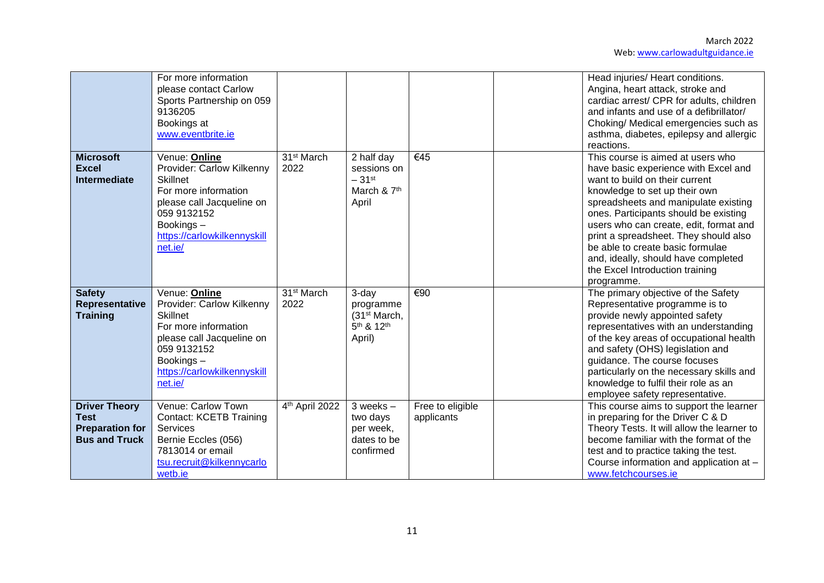|                                                                                       | For more information<br>please contact Carlow<br>Sports Partnership on 059<br>9136205<br>Bookings at<br>www.eventbrite.ie                                                                |                                |                                                                                                |                                | Head injuries/ Heart conditions.<br>Angina, heart attack, stroke and<br>cardiac arrest/ CPR for adults, children<br>and infants and use of a defibrillator/<br>Choking/ Medical emergencies such as<br>asthma, diabetes, epilepsy and allergic<br>reactions.                                                                                                                                                                                 |
|---------------------------------------------------------------------------------------|------------------------------------------------------------------------------------------------------------------------------------------------------------------------------------------|--------------------------------|------------------------------------------------------------------------------------------------|--------------------------------|----------------------------------------------------------------------------------------------------------------------------------------------------------------------------------------------------------------------------------------------------------------------------------------------------------------------------------------------------------------------------------------------------------------------------------------------|
| <b>Microsoft</b><br><b>Excel</b><br><b>Intermediate</b>                               | Venue: Online<br>Provider: Carlow Kilkenny<br><b>Skillnet</b><br>For more information<br>please call Jacqueline on<br>059 9132152<br>Bookings-<br>https://carlowkilkennyskill<br>net.ie/ | 31 <sup>st</sup> March<br>2022 | 2 half day<br>sessions on<br>$-31$ <sup>st</sup><br>March & 7th<br>April                       | €45                            | This course is aimed at users who<br>have basic experience with Excel and<br>want to build on their current<br>knowledge to set up their own<br>spreadsheets and manipulate existing<br>ones. Participants should be existing<br>users who can create, edit, format and<br>print a spreadsheet. They should also<br>be able to create basic formulae<br>and, ideally, should have completed<br>the Excel Introduction training<br>programme. |
| <b>Safety</b><br>Representative<br><b>Training</b>                                    | Venue: Online<br>Provider: Carlow Kilkenny<br><b>Skillnet</b><br>For more information<br>please call Jacqueline on<br>059 9132152<br>Bookings-<br>https://carlowkilkennyskill<br>net.ie/ | 31 <sup>st</sup> March<br>2022 | 3-day<br>programme<br>(31 <sup>st</sup> March,<br>5 <sup>th</sup> & 12 <sup>th</sup><br>April) | $\overline{\epsilon}$ 90       | The primary objective of the Safety<br>Representative programme is to<br>provide newly appointed safety<br>representatives with an understanding<br>of the key areas of occupational health<br>and safety (OHS) legislation and<br>guidance. The course focuses<br>particularly on the necessary skills and<br>knowledge to fulfil their role as an<br>employee safety representative.                                                       |
| <b>Driver Theory</b><br><b>Test</b><br><b>Preparation for</b><br><b>Bus and Truck</b> | Venue: Carlow Town<br><b>Contact: KCETB Training</b><br>Services<br>Bernie Eccles (056)<br>7813014 or email<br>tsu.recruit@kilkennycarlo<br>wetb.ie                                      | 4th April 2022                 | $3$ weeks $-$<br>two days<br>per week,<br>dates to be<br>confirmed                             | Free to eligible<br>applicants | This course aims to support the learner<br>in preparing for the Driver C & D<br>Theory Tests. It will allow the learner to<br>become familiar with the format of the<br>test and to practice taking the test.<br>Course information and application at -<br>www.fetchcourses.ie                                                                                                                                                              |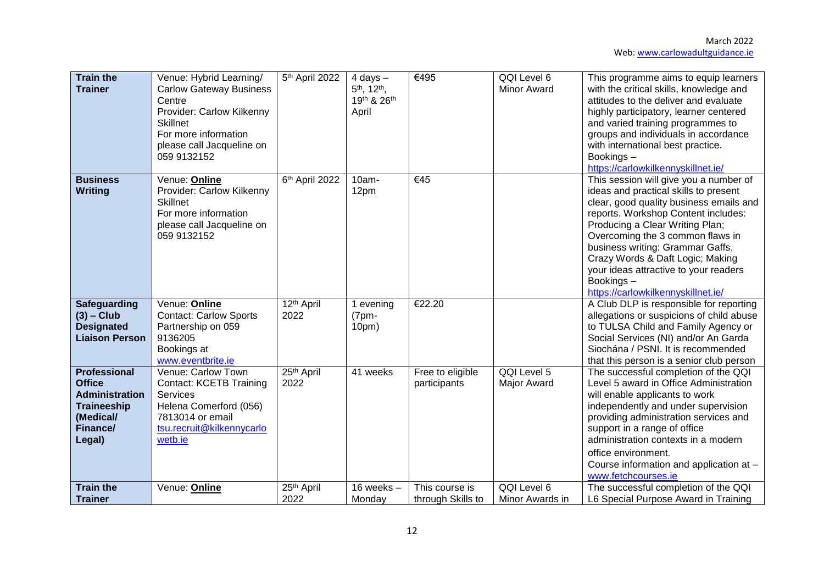| <b>Train the</b><br><b>Trainer</b>                                                                                     | Venue: Hybrid Learning/<br><b>Carlow Gateway Business</b><br>Centre<br>Provider: Carlow Kilkenny<br><b>Skillnet</b><br>For more information<br>please call Jacqueline on<br>059 9132152 | 5th April 2022                 | $4$ days $-$<br>5 <sup>th</sup> , 12 <sup>th</sup> ,<br>19th & 26th<br>April | €495                                | QQI Level 6<br><b>Minor Award</b> | This programme aims to equip learners<br>with the critical skills, knowledge and<br>attitudes to the deliver and evaluate<br>highly participatory, learner centered<br>and varied training programmes to<br>groups and individuals in accordance<br>with international best practice.<br>Bookings-<br>https://carlowkilkennyskillnet.ie/                                                                     |
|------------------------------------------------------------------------------------------------------------------------|-----------------------------------------------------------------------------------------------------------------------------------------------------------------------------------------|--------------------------------|------------------------------------------------------------------------------|-------------------------------------|-----------------------------------|--------------------------------------------------------------------------------------------------------------------------------------------------------------------------------------------------------------------------------------------------------------------------------------------------------------------------------------------------------------------------------------------------------------|
| <b>Business</b><br>Writing                                                                                             | Venue: Online<br>Provider: Carlow Kilkenny<br><b>Skillnet</b><br>For more information<br>please call Jacqueline on<br>059 9132152                                                       | 6 <sup>th</sup> April 2022     | 10am-<br>12pm                                                                | $\overline{\epsilon$ 45             |                                   | This session will give you a number of<br>ideas and practical skills to present<br>clear, good quality business emails and<br>reports. Workshop Content includes:<br>Producing a Clear Writing Plan;<br>Overcoming the 3 common flaws in<br>business writing: Grammar Gaffs,<br>Crazy Words & Daft Logic; Making<br>your ideas attractive to your readers<br>Bookings-<br>https://carlowkilkennyskillnet.ie/ |
| <b>Safeguarding</b><br>$(3)$ – Club<br><b>Designated</b><br><b>Liaison Person</b>                                      | Venue: Online<br><b>Contact: Carlow Sports</b><br>Partnership on 059<br>9136205<br>Bookings at<br>www.eventbrite.ie                                                                     | 12 <sup>th</sup> April<br>2022 | 1 evening<br>$(7pm -$<br>10 <sub>pm</sub>                                    | €22.20                              |                                   | A Club DLP is responsible for reporting<br>allegations or suspicions of child abuse<br>to TULSA Child and Family Agency or<br>Social Services (NI) and/or An Garda<br>Siochána / PSNI. It is recommended<br>that this person is a senior club person                                                                                                                                                         |
| <b>Professional</b><br><b>Office</b><br><b>Administration</b><br><b>Traineeship</b><br>(Medical/<br>Finance/<br>Legal) | Venue: Carlow Town<br><b>Contact: KCETB Training</b><br>Services<br>Helena Comerford (056)<br>7813014 or email<br>tsu.recruit@kilkennycarlo<br>wetb.ie                                  | 25 <sup>th</sup> April<br>2022 | 41 weeks                                                                     | Free to eligible<br>participants    | QQI Level 5<br>Major Award        | The successful completion of the QQI<br>Level 5 award in Office Administration<br>will enable applicants to work<br>independently and under supervision<br>providing administration services and<br>support in a range of office<br>administration contexts in a modern<br>office environment.<br>Course information and application at -<br>www.fetchcourses.ie                                             |
| <b>Train the</b><br><b>Trainer</b>                                                                                     | Venue: Online                                                                                                                                                                           | 25 <sup>th</sup> April<br>2022 | 16 weeks $-$<br>Monday                                                       | This course is<br>through Skills to | QQI Level 6<br>Minor Awards in    | The successful completion of the QQI<br>L6 Special Purpose Award in Training                                                                                                                                                                                                                                                                                                                                 |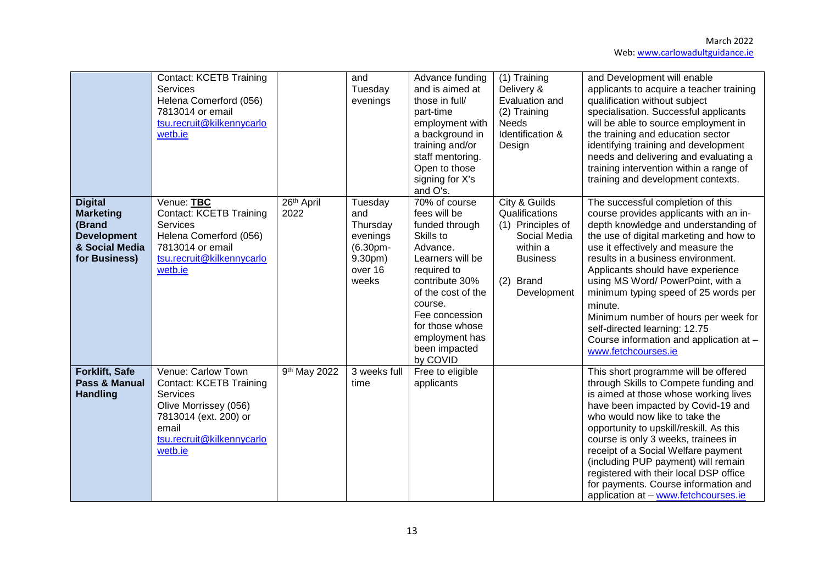|                                                                                                       | <b>Contact: KCETB Training</b><br><b>Services</b><br>Helena Comerford (056)<br>7813014 or email<br>tsu.recruit@kilkennycarlo<br>wetb.ie                             |                    | and<br>Tuesday<br>evenings                                                        | Advance funding<br>and is aimed at<br>those in full/<br>part-time<br>employment with<br>a background in<br>training and/or<br>staff mentoring.<br>Open to those<br>signing for X's<br>and O's.                                                     | (1) Training<br>Delivery &<br>Evaluation and<br>(2) Training<br><b>Needs</b><br>Identification &<br>Design                      | and Development will enable<br>applicants to acquire a teacher training<br>qualification without subject<br>specialisation. Successful applicants<br>will be able to source employment in<br>the training and education sector<br>identifying training and development<br>needs and delivering and evaluating a<br>training intervention within a range of<br>training and development contexts.                                                                                                                   |
|-------------------------------------------------------------------------------------------------------|---------------------------------------------------------------------------------------------------------------------------------------------------------------------|--------------------|-----------------------------------------------------------------------------------|----------------------------------------------------------------------------------------------------------------------------------------------------------------------------------------------------------------------------------------------------|---------------------------------------------------------------------------------------------------------------------------------|--------------------------------------------------------------------------------------------------------------------------------------------------------------------------------------------------------------------------------------------------------------------------------------------------------------------------------------------------------------------------------------------------------------------------------------------------------------------------------------------------------------------|
| <b>Digital</b><br><b>Marketing</b><br>(Brand<br><b>Development</b><br>& Social Media<br>for Business) | Venue: TBC<br><b>Contact: KCETB Training</b><br>Services<br>Helena Comerford (056)<br>7813014 or email<br>tsu.recruit@kilkennycarlo<br>wetb.ie                      | 26th April<br>2022 | Tuesday<br>and<br>Thursday<br>evenings<br>(6.30pm-<br>9.30pm)<br>over 16<br>weeks | 70% of course<br>fees will be<br>funded through<br>Skills to<br>Advance.<br>Learners will be<br>required to<br>contribute 30%<br>of the cost of the<br>course.<br>Fee concession<br>for those whose<br>employment has<br>been impacted<br>by COVID | City & Guilds<br>Qualifications<br>(1) Principles of<br>Social Media<br>within a<br><b>Business</b><br>(2) Brand<br>Development | The successful completion of this<br>course provides applicants with an in-<br>depth knowledge and understanding of<br>the use of digital marketing and how to<br>use it effectively and measure the<br>results in a business environment.<br>Applicants should have experience<br>using MS Word/ PowerPoint, with a<br>minimum typing speed of 25 words per<br>minute.<br>Minimum number of hours per week for<br>self-directed learning: 12.75<br>Course information and application at -<br>www.fetchcourses.ie |
| Forklift, Safe<br>Pass & Manual<br><b>Handling</b>                                                    | Venue: Carlow Town<br><b>Contact: KCETB Training</b><br>Services<br>Olive Morrissey (056)<br>7813014 (ext. 200) or<br>email<br>tsu.recruit@kilkennycarlo<br>wetb.ie | 9th May 2022       | 3 weeks full<br>time                                                              | Free to eligible<br>applicants                                                                                                                                                                                                                     |                                                                                                                                 | This short programme will be offered<br>through Skills to Compete funding and<br>is aimed at those whose working lives<br>have been impacted by Covid-19 and<br>who would now like to take the<br>opportunity to upskill/reskill. As this<br>course is only 3 weeks, trainees in<br>receipt of a Social Welfare payment<br>(including PUP payment) will remain<br>registered with their local DSP office<br>for payments. Course information and<br>application at - www.fetchcourses.ie                           |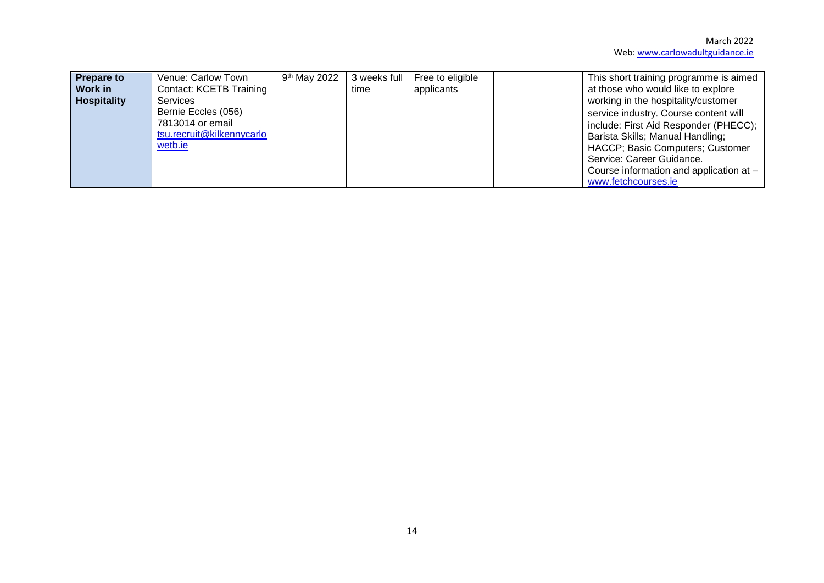| <b>Prepare to</b><br><b>Work in</b><br><b>Hospitality</b> | Venue: Carlow Town<br>Contact: KCETB Training<br><b>Services</b>                | 9 <sup>th</sup> May 2022 | 3 weeks full<br>time | Free to eligible<br>applicants | This short training programme is aimed<br>at those who would like to explore<br>working in the hospitality/customer                                                                                                                                   |
|-----------------------------------------------------------|---------------------------------------------------------------------------------|--------------------------|----------------------|--------------------------------|-------------------------------------------------------------------------------------------------------------------------------------------------------------------------------------------------------------------------------------------------------|
|                                                           | Bernie Eccles (056)<br>7813014 or email<br>tsu.recruit@kilkennycarlo<br>wetb.ie |                          |                      |                                | service industry. Course content will<br>include: First Aid Responder (PHECC);<br>Barista Skills; Manual Handling;<br>HACCP; Basic Computers; Customer<br>Service: Career Guidance.<br>Course information and application at -<br>www.fetchcourses.ie |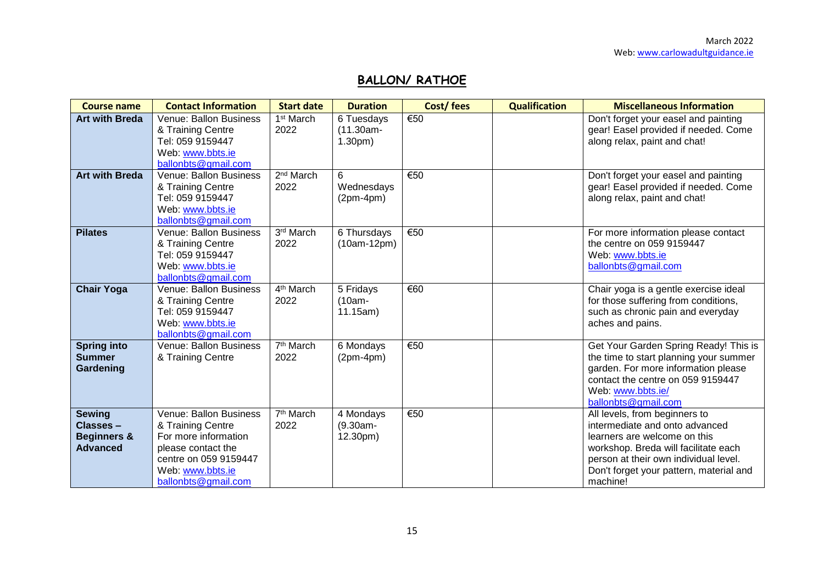# **BALLON/ RATHOE**

| <b>Course name</b>                                                     | <b>Contact Information</b>                                                                                                                                    | <b>Start date</b>                 | <b>Duration</b>                                  | Cost/fees                | <b>Qualification</b> | <b>Miscellaneous Information</b>                                                                                                                                                                                                        |
|------------------------------------------------------------------------|---------------------------------------------------------------------------------------------------------------------------------------------------------------|-----------------------------------|--------------------------------------------------|--------------------------|----------------------|-----------------------------------------------------------------------------------------------------------------------------------------------------------------------------------------------------------------------------------------|
| <b>Art with Breda</b>                                                  | <b>Venue: Ballon Business</b><br>& Training Centre<br>Tel: 059 9159447<br>Web: www.bbts.ie                                                                    | 1 <sup>st</sup> March<br>2022     | 6 Tuesdays<br>$(11.30am -$<br>1.30 <sub>pm</sub> | $\overline{\epsilon}$ 50 |                      | Don't forget your easel and painting<br>gear! Easel provided if needed. Come<br>along relax, paint and chat!                                                                                                                            |
|                                                                        | ballonbts@gmail.com                                                                                                                                           |                                   |                                                  |                          |                      |                                                                                                                                                                                                                                         |
| <b>Art with Breda</b>                                                  | Venue: Ballon Business<br>& Training Centre<br>Tel: 059 9159447<br>Web: www.bbts.ie<br>ballonbts@gmail.com                                                    | 2 <sup>nd</sup> March<br>2022     | 6<br>Wednesdays<br>$(2pm-4pm)$                   | €50                      |                      | Don't forget your easel and painting<br>gear! Easel provided if needed. Come<br>along relax, paint and chat!                                                                                                                            |
| <b>Pilates</b>                                                         | Venue: Ballon Business<br>& Training Centre<br>Tel: 059 9159447<br>Web: www.bbts.ie<br>ballonbts@gmail.com                                                    | $3rd$ March<br>2022               | 6 Thursdays<br>$(10am-12pm)$                     | €50                      |                      | For more information please contact<br>the centre on 059 9159447<br>Web: www.bbts.ie<br>ballonbts@gmail.com                                                                                                                             |
| <b>Chair Yoga</b>                                                      | Venue: Ballon Business<br>& Training Centre<br>Tel: 059 9159447<br>Web: www.bbts.ie<br>ballonbts@gmail.com                                                    | $\overline{4^{th}}$ March<br>2022 | 5 Fridays<br>(10am-<br>11.15am)                  | €60                      |                      | Chair yoga is a gentle exercise ideal<br>for those suffering from conditions,<br>such as chronic pain and everyday<br>aches and pains.                                                                                                  |
| <b>Spring into</b><br><b>Summer</b><br>Gardening                       | Venue: Ballon Business<br>& Training Centre                                                                                                                   | 7 <sup>th</sup> March<br>2022     | 6 Mondays<br>$(2pm-4pm)$                         | €50                      |                      | Get Your Garden Spring Ready! This is<br>the time to start planning your summer<br>garden. For more information please<br>contact the centre on 059 9159447<br>Web: www.bbts.ie/<br>ballonbts@gmail.com                                 |
| <b>Sewing</b><br>Classes-<br><b>Beginners &amp;</b><br><b>Advanced</b> | Venue: Ballon Business<br>& Training Centre<br>For more information<br>please contact the<br>centre on 059 9159447<br>Web: www.bbts.ie<br>ballonbts@gmail.com | 7 <sup>th</sup> March<br>2022     | 4 Mondays<br>$(9.30am -$<br>12.30pm)             | €50                      |                      | All levels, from beginners to<br>intermediate and onto advanced<br>learners are welcome on this<br>workshop. Breda will facilitate each<br>person at their own individual level.<br>Don't forget your pattern, material and<br>machine! |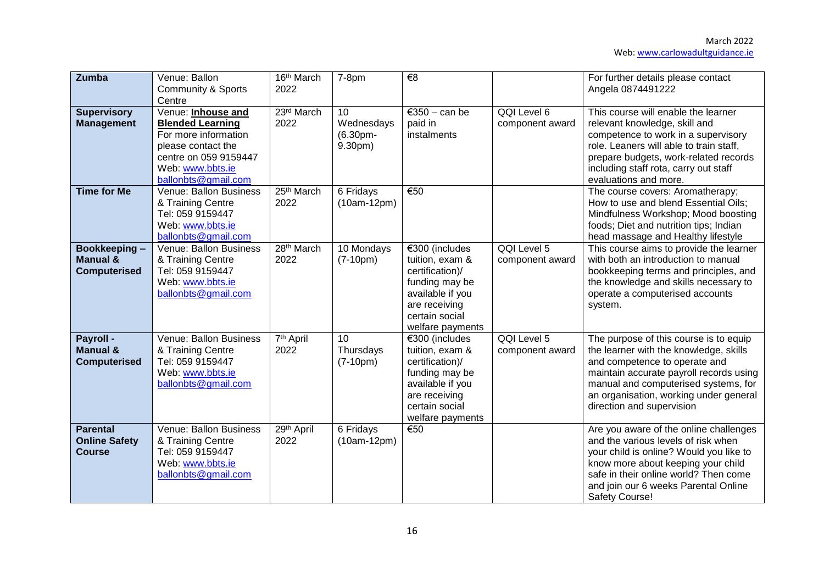| <b>Zumba</b>                                               | Venue: Ballon<br>Community & Sports<br>Centre                                                                                                                   | 16th March<br>2022             | $7-8pm$                                 | $\overline{\epsilon}$                                                                                                                             |                                | For further details please contact<br>Angela 0874491222                                                                                                                                                                                                                     |
|------------------------------------------------------------|-----------------------------------------------------------------------------------------------------------------------------------------------------------------|--------------------------------|-----------------------------------------|---------------------------------------------------------------------------------------------------------------------------------------------------|--------------------------------|-----------------------------------------------------------------------------------------------------------------------------------------------------------------------------------------------------------------------------------------------------------------------------|
| <b>Supervisory</b><br><b>Management</b>                    | Venue: Inhouse and<br><b>Blended Learning</b><br>For more information<br>please contact the<br>centre on 059 9159447<br>Web: www.bbts.ie<br>ballonbts@gmail.com | 23rd March<br>2022             | 10<br>Wednesdays<br>(6.30pm-<br>9.30pm) | €350 - can be<br>paid in<br>instalments                                                                                                           | QQI Level 6<br>component award | This course will enable the learner<br>relevant knowledge, skill and<br>competence to work in a supervisory<br>role. Leaners will able to train staff,<br>prepare budgets, work-related records<br>including staff rota, carry out staff<br>evaluations and more.           |
| <b>Time for Me</b>                                         | Venue: Ballon Business<br>& Training Centre<br>Tel: 059 9159447<br>Web: www.bbts.ie<br>ballonbts@gmail.com                                                      | 25th March<br>2022             | 6 Fridays<br>$(10am-12pm)$              | €50                                                                                                                                               |                                | The course covers: Aromatherapy;<br>How to use and blend Essential Oils;<br>Mindfulness Workshop; Mood boosting<br>foods; Diet and nutrition tips; Indian<br>head massage and Healthy lifestyle                                                                             |
| Bookkeeping-<br><b>Manual &amp;</b><br><b>Computerised</b> | Venue: Ballon Business<br>& Training Centre<br>Tel: 059 9159447<br>Web: www.bbts.ie<br>ballonbts@gmail.com                                                      | 28 <sup>th</sup> March<br>2022 | 10 Mondays<br>$(7-10pm)$                | €300 (includes<br>tuition, exam &<br>certification)/<br>funding may be<br>available if you<br>are receiving<br>certain social<br>welfare payments | QQI Level 5<br>component award | This course aims to provide the learner<br>with both an introduction to manual<br>bookkeeping terms and principles, and<br>the knowledge and skills necessary to<br>operate a computerised accounts<br>system.                                                              |
| Payroll -<br><b>Manual &amp;</b><br><b>Computerised</b>    | Venue: Ballon Business<br>& Training Centre<br>Tel: 059 9159447<br>Web: www.bbts.ie<br>ballonbts@gmail.com                                                      | 7 <sup>th</sup> April<br>2022  | 10<br>Thursdays<br>$(7-10pm)$           | €300 (includes<br>tuition, exam &<br>certification)/<br>funding may be<br>available if you<br>are receiving<br>certain social<br>welfare payments | QQI Level 5<br>component award | The purpose of this course is to equip<br>the learner with the knowledge, skills<br>and competence to operate and<br>maintain accurate payroll records using<br>manual and computerised systems, for<br>an organisation, working under general<br>direction and supervision |
| <b>Parental</b><br><b>Online Safety</b><br><b>Course</b>   | Venue: Ballon Business<br>& Training Centre<br>Tel: 059 9159447<br>Web: www.bbts.ie<br>ballonbts@gmail.com                                                      | 29th April<br>2022             | 6 Fridays<br>$(10am-12pm)$              | €50                                                                                                                                               |                                | Are you aware of the online challenges<br>and the various levels of risk when<br>your child is online? Would you like to<br>know more about keeping your child<br>safe in their online world? Then come<br>and join our 6 weeks Parental Online<br><b>Safety Course!</b>    |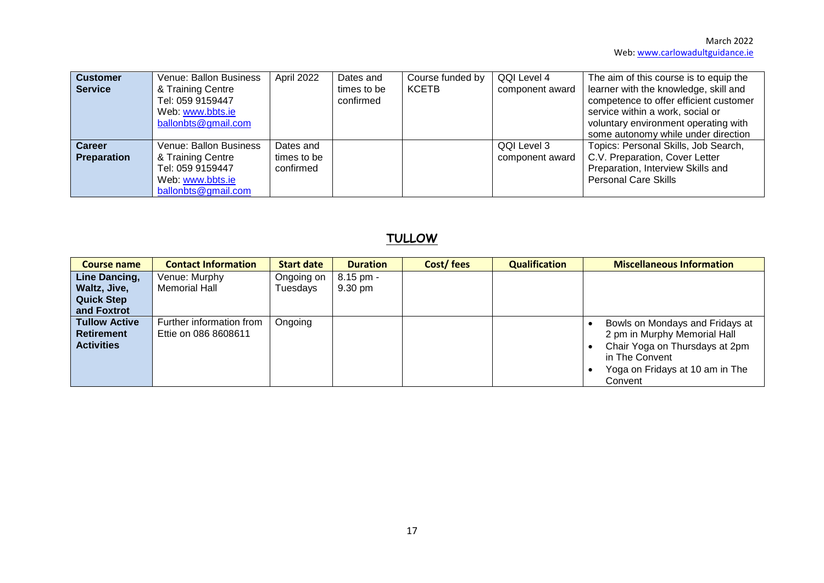| <b>Customer</b><br><b>Service</b>   | Venue: Ballon Business<br>& Training Centre<br>Tel: 059 9159447<br>Web: www.bbts.ie<br>ballonbts@gmail.com | April 2022               | Dates and<br>times to be<br>confirmed | Course funded by<br><b>KCETB</b> | QQI Level 4<br>component award | The aim of this course is to equip the<br>learner with the knowledge, skill and<br>competence to offer efficient customer<br>service within a work, social or<br>voluntary environment operating with<br>some autonomy while under direction |
|-------------------------------------|------------------------------------------------------------------------------------------------------------|--------------------------|---------------------------------------|----------------------------------|--------------------------------|----------------------------------------------------------------------------------------------------------------------------------------------------------------------------------------------------------------------------------------------|
| <b>Career</b><br><b>Preparation</b> | Venue: Ballon Business<br>& Training Centre                                                                | Dates and<br>times to be |                                       |                                  | QQI Level 3<br>component award | Topics: Personal Skills, Job Search,<br>C.V. Preparation, Cover Letter                                                                                                                                                                       |
|                                     | Tel: 059 9159447<br>Web: www.bbts.ie                                                                       | confirmed                |                                       |                                  |                                | Preparation, Interview Skills and<br><b>Personal Care Skills</b>                                                                                                                                                                             |
|                                     | ballonbts@gmail.com                                                                                        |                          |                                       |                                  |                                |                                                                                                                                                                                                                                              |

# **TULLOW**

| <b>Course name</b>   | <b>Contact Information</b> | <b>Start date</b> | <b>Duration</b> | Cost/fees | <b>Qualification</b> | <b>Miscellaneous Information</b> |
|----------------------|----------------------------|-------------------|-----------------|-----------|----------------------|----------------------------------|
| Line Dancing,        | Venue: Murphy              | Ongoing on        | $8.15$ pm -     |           |                      |                                  |
| Waltz, Jive,         | Memorial Hall              | Tuesdays          | 9.30 pm         |           |                      |                                  |
| <b>Quick Step</b>    |                            |                   |                 |           |                      |                                  |
| and Foxtrot          |                            |                   |                 |           |                      |                                  |
| <b>Tullow Active</b> | Further information from   | Ongoing           |                 |           |                      | Bowls on Mondays and Fridays at  |
| <b>Retirement</b>    | Ettie on 086 8608611       |                   |                 |           |                      | 2 pm in Murphy Memorial Hall     |
| <b>Activities</b>    |                            |                   |                 |           |                      | Chair Yoga on Thursdays at 2pm   |
|                      |                            |                   |                 |           |                      | in The Convent                   |
|                      |                            |                   |                 |           |                      | Yoga on Fridays at 10 am in The  |
|                      |                            |                   |                 |           |                      | Convent                          |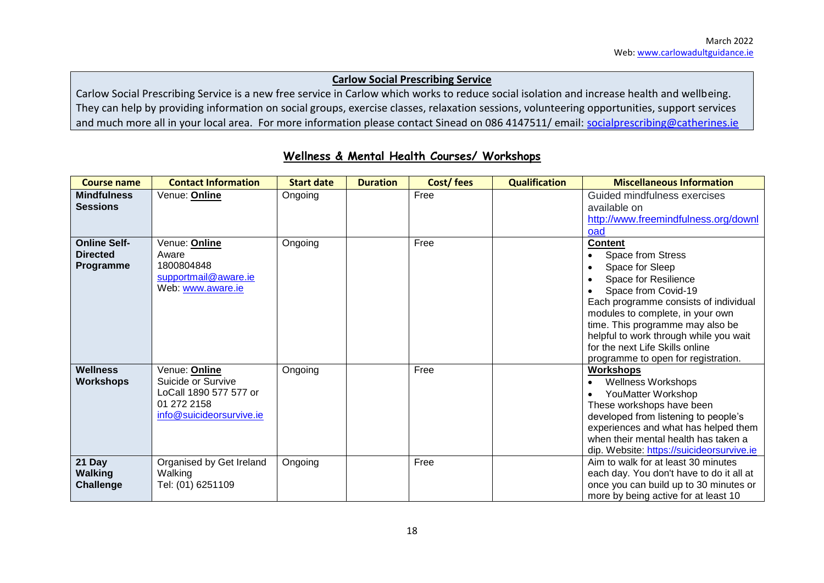#### **Carlow Social Prescribing Service**

Carlow Social Prescribing Service is a new free service in Carlow which works to reduce social isolation and increase health and wellbeing. They can help by providing information on social groups, exercise classes, relaxation sessions, volunteering opportunities, support services and much more all in your local area. For more information please contact Sinead on 086 4147511/ email: [socialprescribing@catherines.ie](mailto:socialprescribing@catherines.ie)

| <b>Course name</b>                                  | <b>Contact Information</b>                                                                               | <b>Start date</b> | <b>Duration</b> | Cost/fees | <b>Qualification</b> | <b>Miscellaneous Information</b>                                                                                                                                                                                                                                                                                                           |
|-----------------------------------------------------|----------------------------------------------------------------------------------------------------------|-------------------|-----------------|-----------|----------------------|--------------------------------------------------------------------------------------------------------------------------------------------------------------------------------------------------------------------------------------------------------------------------------------------------------------------------------------------|
| <b>Mindfulness</b><br><b>Sessions</b>               | Venue: Online                                                                                            | Ongoing           |                 | Free      |                      | Guided mindfulness exercises<br>available on<br>http://www.freemindfulness.org/downl<br>oad                                                                                                                                                                                                                                                |
| <b>Online Self-</b><br><b>Directed</b><br>Programme | Venue: Online<br>Aware<br>1800804848<br>supportmail@aware.ie<br>Web: www.aware.ie                        | Ongoing           |                 | Free      |                      | <b>Content</b><br>Space from Stress<br>Space for Sleep<br>Space for Resilience<br>Space from Covid-19<br>Each programme consists of individual<br>modules to complete, in your own<br>time. This programme may also be<br>helpful to work through while you wait<br>for the next Life Skills online<br>programme to open for registration. |
| Wellness<br><b>Workshops</b>                        | Venue: Online<br>Suicide or Survive<br>LoCall 1890 577 577 or<br>01 272 2158<br>info@suicideorsurvive.ie | Ongoing           |                 | Free      |                      | <b>Workshops</b><br><b>Wellness Workshops</b><br>YouMatter Workshop<br>These workshops have been<br>developed from listening to people's<br>experiences and what has helped them<br>when their mental health has taken a<br>dip. Website: https://suicideorsurvive.ie                                                                      |
| 21 Day<br><b>Walking</b><br><b>Challenge</b>        | Organised by Get Ireland<br>Walking<br>Tel: (01) 6251109                                                 | Ongoing           |                 | Free      |                      | Aim to walk for at least 30 minutes<br>each day. You don't have to do it all at<br>once you can build up to 30 minutes or<br>more by being active for at least 10                                                                                                                                                                          |

#### **Wellness & Mental Health Courses/ Workshops**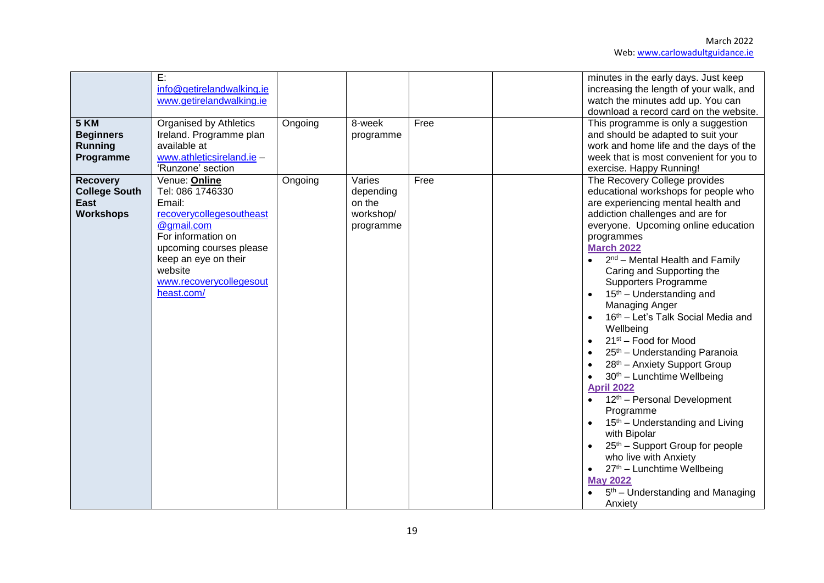| 5 KM<br><b>Beginners</b><br><b>Running</b><br>Programme             | E:<br>info@getirelandwalking.ie<br>www.getirelandwalking.ie<br><b>Organised by Athletics</b><br>Ireland. Programme plan<br>available at<br>www.athleticsireland.ie -<br>'Runzone' section                          | Ongoing | 8-week<br>programme                                     | Free | minutes in the early days. Just keep<br>increasing the length of your walk, and<br>watch the minutes add up. You can<br>download a record card on the website.<br>This programme is only a suggestion<br>and should be adapted to suit your<br>work and home life and the days of the<br>week that is most convenient for you to<br>exercise. Happy Running!                                                                                                                                                                                                                                                                                                                                                                                                                                                                                                                                                     |
|---------------------------------------------------------------------|--------------------------------------------------------------------------------------------------------------------------------------------------------------------------------------------------------------------|---------|---------------------------------------------------------|------|------------------------------------------------------------------------------------------------------------------------------------------------------------------------------------------------------------------------------------------------------------------------------------------------------------------------------------------------------------------------------------------------------------------------------------------------------------------------------------------------------------------------------------------------------------------------------------------------------------------------------------------------------------------------------------------------------------------------------------------------------------------------------------------------------------------------------------------------------------------------------------------------------------------|
| <b>Recovery</b><br><b>College South</b><br>East<br><b>Workshops</b> | Venue: Online<br>Tel: 086 1746330<br>Email:<br>recoverycollegesoutheast<br>@gmail.com<br>For information on<br>upcoming courses please<br>keep an eye on their<br>website<br>www.recoverycollegesout<br>heast.com/ | Ongoing | Varies<br>depending<br>on the<br>workshop/<br>programme | Free | The Recovery College provides<br>educational workshops for people who<br>are experiencing mental health and<br>addiction challenges and are for<br>everyone. Upcoming online education<br>programmes<br><b>March 2022</b><br>$2nd$ – Mental Health and Family<br>Caring and Supporting the<br>Supporters Programme<br>$15th$ – Understanding and<br>Managing Anger<br>16th - Let's Talk Social Media and<br>Wellbeing<br>21 <sup>st</sup> – Food for Mood<br>25 <sup>th</sup> - Understanding Paranoia<br>28 <sup>th</sup> - Anxiety Support Group<br>30th - Lunchtime Wellbeing<br><b>April 2022</b><br>12 <sup>th</sup> – Personal Development<br>Programme<br>15 <sup>th</sup> – Understanding and Living<br>with Bipolar<br>25 <sup>th</sup> – Support Group for people<br>who live with Anxiety<br>27th - Lunchtime Wellbeing<br><b>May 2022</b><br>5 <sup>th</sup> – Understanding and Managing<br>Anxiety |